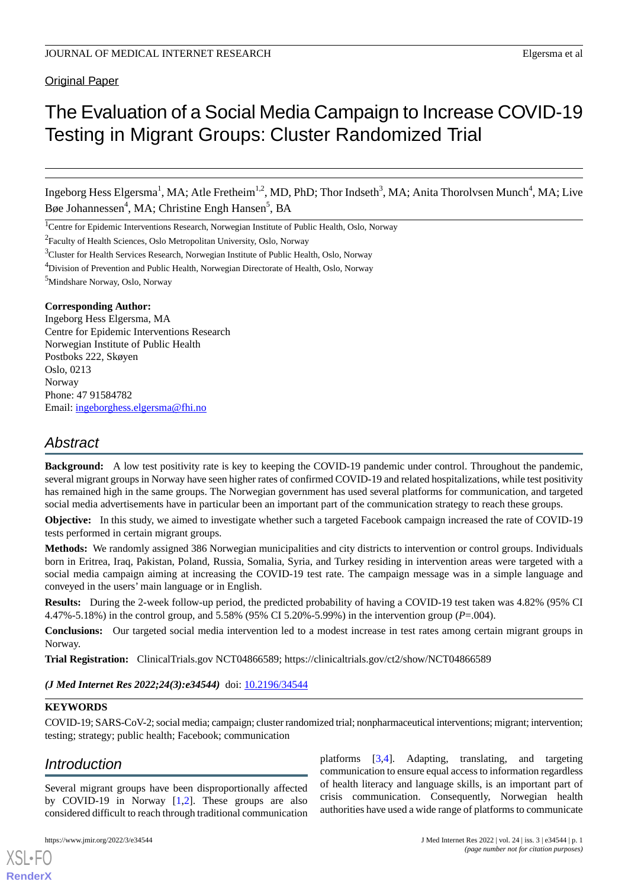# Original Paper

# The Evaluation of a Social Media Campaign to Increase COVID-19 Testing in Migrant Groups: Cluster Randomized Trial

Ingeborg Hess Elgersma<sup>1</sup>, MA; Atle Fretheim<sup>1,2</sup>, MD, PhD; Thor Indseth<sup>3</sup>, MA; Anita Thorolvsen Munch<sup>4</sup>, MA; Live Bøe Johannessen<sup>4</sup>, MA; Christine Engh Hansen<sup>5</sup>, BA

<sup>1</sup>Centre for Epidemic Interventions Research, Norwegian Institute of Public Health, Oslo, Norway

<sup>2</sup> Faculty of Health Sciences, Oslo Metropolitan University, Oslo, Norway

<sup>3</sup>Cluster for Health Services Research, Norwegian Institute of Public Health, Oslo, Norway

<sup>4</sup>Division of Prevention and Public Health, Norwegian Directorate of Health, Oslo, Norway

<sup>5</sup>Mindshare Norway, Oslo, Norway

# **Corresponding Author:**

Ingeborg Hess Elgersma, MA Centre for Epidemic Interventions Research Norwegian Institute of Public Health Postboks 222, Skøyen Oslo, 0213 Norway Phone: 47 91584782 Email: [ingeborghess.elgersma@fhi.no](mailto:ingeborghess.elgersma@fhi.no)

# *Abstract*

**Background:** A low test positivity rate is key to keeping the COVID-19 pandemic under control. Throughout the pandemic, several migrant groups in Norway have seen higher rates of confirmed COVID-19 and related hospitalizations, while test positivity has remained high in the same groups. The Norwegian government has used several platforms for communication, and targeted social media advertisements have in particular been an important part of the communication strategy to reach these groups.

**Objective:** In this study, we aimed to investigate whether such a targeted Facebook campaign increased the rate of COVID-19 tests performed in certain migrant groups.

**Methods:** We randomly assigned 386 Norwegian municipalities and city districts to intervention or control groups. Individuals born in Eritrea, Iraq, Pakistan, Poland, Russia, Somalia, Syria, and Turkey residing in intervention areas were targeted with a social media campaign aiming at increasing the COVID-19 test rate. The campaign message was in a simple language and conveyed in the users' main language or in English.

**Results:** During the 2-week follow-up period, the predicted probability of having a COVID-19 test taken was 4.82% (95% CI 4.47%-5.18%) in the control group, and 5.58% (95% CI 5.20%-5.99%) in the intervention group (*P*=.004).

**Conclusions:** Our targeted social media intervention led to a modest increase in test rates among certain migrant groups in Norway.

**Trial Registration:** ClinicalTrials.gov NCT04866589; https://clinicaltrials.gov/ct2/show/NCT04866589

(*J Med Internet Res 2022;24(3):e34544*) doi: **[10.2196/34544](http://dx.doi.org/10.2196/34544)** 

# **KEYWORDS**

COVID-19; SARS-CoV-2; social media; campaign; cluster randomized trial; nonpharmaceutical interventions; migrant; intervention; testing; strategy; public health; Facebook; communication

# *Introduction*

Several migrant groups have been disproportionally affected by COVID-19 in Norway [\[1](#page-7-0),[2\]](#page-8-0). These groups are also considered difficult to reach through traditional communication

[XSL](http://www.w3.org/Style/XSL)•FO **[RenderX](http://www.renderx.com/)**

platforms [\[3](#page-8-1),[4\]](#page-8-2). Adapting, translating, and targeting communication to ensure equal access to information regardless of health literacy and language skills, is an important part of crisis communication. Consequently, Norwegian health authorities have used a wide range of platforms to communicate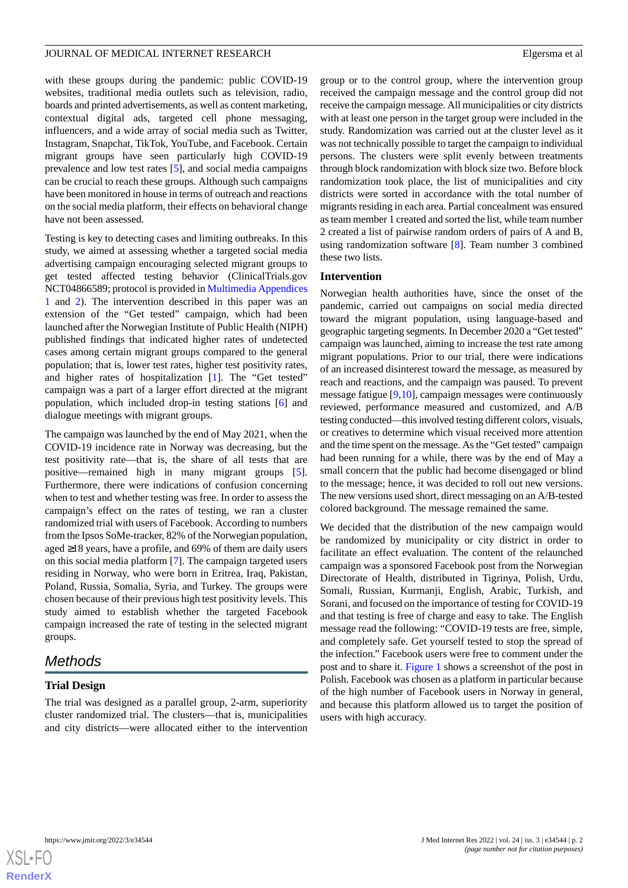with these groups during the pandemic: public COVID-19 websites, traditional media outlets such as television, radio, boards and printed advertisements, as well as content marketing, contextual digital ads, targeted cell phone messaging, influencers, and a wide array of social media such as Twitter, Instagram, Snapchat, TikTok, YouTube, and Facebook. Certain migrant groups have seen particularly high COVID-19 prevalence and low test rates [[5\]](#page-8-3), and social media campaigns can be crucial to reach these groups. Although such campaigns have been monitored in house in terms of outreach and reactions on the social media platform, their effects on behavioral change have not been assessed.

Testing is key to detecting cases and limiting outbreaks. In this study, we aimed at assessing whether a targeted social media advertising campaign encouraging selected migrant groups to get tested affected testing behavior (ClinicalTrials.gov NCT04866589; protocol is provided in [Multimedia Appendices](#page-7-1) [1](#page-7-1) and [2](#page-7-2)). The intervention described in this paper was an extension of the "Get tested" campaign, which had been launched after the Norwegian Institute of Public Health (NIPH) published findings that indicated higher rates of undetected cases among certain migrant groups compared to the general population; that is, lower test rates, higher test positivity rates, and higher rates of hospitalization [\[1](#page-7-0)]. The "Get tested" campaign was a part of a larger effort directed at the migrant population, which included drop-in testing stations [\[6](#page-8-4)] and dialogue meetings with migrant groups.

The campaign was launched by the end of May 2021, when the COVID-19 incidence rate in Norway was decreasing, but the test positivity rate—that is, the share of all tests that are positive—remained high in many migrant groups [[5\]](#page-8-3). Furthermore, there were indications of confusion concerning when to test and whether testing was free. In order to assess the campaign's effect on the rates of testing, we ran a cluster randomized trial with users of Facebook. According to numbers from the Ipsos SoMe-tracker, 82% of the Norwegian population, aged ≥18 years, have a profile, and 69% of them are daily users on this social media platform [\[7](#page-8-5)]. The campaign targeted users residing in Norway, who were born in Eritrea, Iraq, Pakistan, Poland, Russia, Somalia, Syria, and Turkey. The groups were chosen because of their previous high test positivity levels. This study aimed to establish whether the targeted Facebook campaign increased the rate of testing in the selected migrant groups.

# *Methods*

# **Trial Design**

The trial was designed as a parallel group, 2-arm, superiority cluster randomized trial. The clusters—that is, municipalities and city districts—were allocated either to the intervention

group or to the control group, where the intervention group received the campaign message and the control group did not receive the campaign message. All municipalities or city districts with at least one person in the target group were included in the study. Randomization was carried out at the cluster level as it was not technically possible to target the campaign to individual persons. The clusters were split evenly between treatments through block randomization with block size two. Before block randomization took place, the list of municipalities and city districts were sorted in accordance with the total number of migrants residing in each area. Partial concealment was ensured as team member 1 created and sorted the list, while team number 2 created a list of pairwise random orders of pairs of A and B, using randomization software [\[8](#page-8-6)]. Team number 3 combined these two lists.

# **Intervention**

Norwegian health authorities have, since the onset of the pandemic, carried out campaigns on social media directed toward the migrant population, using language-based and geographic targeting segments. In December 2020 a "Get tested" campaign was launched, aiming to increase the test rate among migrant populations. Prior to our trial, there were indications of an increased disinterest toward the message, as measured by reach and reactions, and the campaign was paused. To prevent message fatigue [[9](#page-8-7)[,10](#page-8-8)], campaign messages were continuously reviewed, performance measured and customized, and A/B testing conducted—this involved testing different colors, visuals, or creatives to determine which visual received more attention and the time spent on the message. As the "Get tested" campaign had been running for a while, there was by the end of May a small concern that the public had become disengaged or blind to the message; hence, it was decided to roll out new versions. The new versions used short, direct messaging on an A/B-tested colored background. The message remained the same.

We decided that the distribution of the new campaign would be randomized by municipality or city district in order to facilitate an effect evaluation. The content of the relaunched campaign was a sponsored Facebook post from the Norwegian Directorate of Health, distributed in Tigrinya, Polish, Urdu, Somali, Russian, Kurmanji, English, Arabic, Turkish, and Sorani, and focused on the importance of testing for COVID-19 and that testing is free of charge and easy to take. The English message read the following: "COVID-19 tests are free, simple, and completely safe. Get yourself tested to stop the spread of the infection." Facebook users were free to comment under the post and to share it. [Figure 1](#page-2-0) shows a screenshot of the post in Polish. Facebook was chosen as a platform in particular because of the high number of Facebook users in Norway in general, and because this platform allowed us to target the position of users with high accuracy.

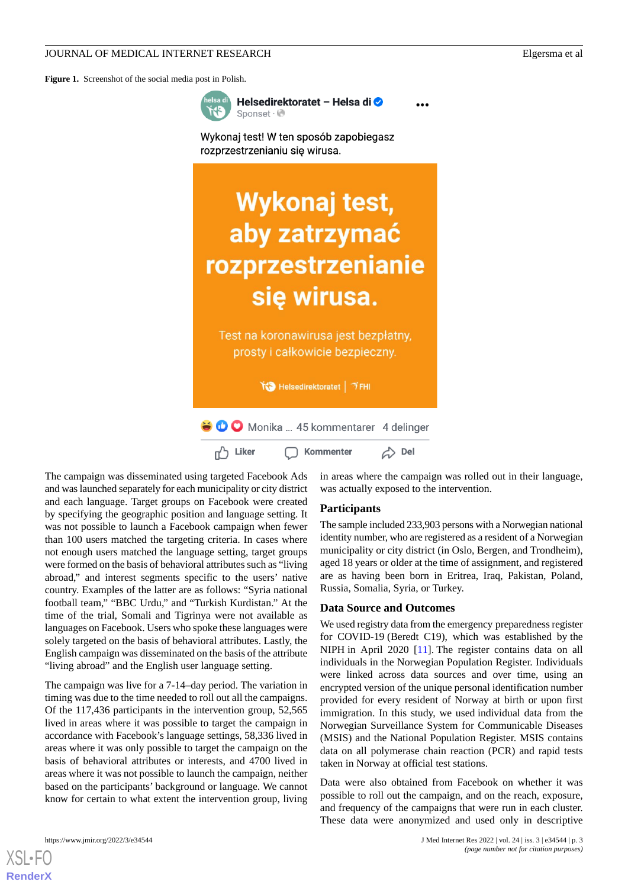<span id="page-2-0"></span>**Figure 1.** Screenshot of the social media post in Polish.



Helsedirektoratet - Helsa di O Sponset · @

Wykonaj test! W ten sposób zapobiegasz rozprzestrzenianiu się wirusa.

# Wykonaj test, aby zatrzymać rozprzestrzenianie się wirusa.

Test na koronawirusa jest bezpłatny, prosty i całkowicie bezpieczny.

₩ Helsedirektoratet | → FHI

O Monika ... 45 kommentarer 4 delinger △ Del m<sup>7</sup> Liker Kommenter

The campaign was disseminated using targeted Facebook Ads and was launched separately for each municipality or city district and each language. Target groups on Facebook were created by specifying the geographic position and language setting. It was not possible to launch a Facebook campaign when fewer than 100 users matched the targeting criteria. In cases where not enough users matched the language setting, target groups were formed on the basis of behavioral attributes such as "living abroad," and interest segments specific to the users' native country. Examples of the latter are as follows: "Syria national football team," "BBC Urdu," and "Turkish Kurdistan." At the time of the trial, Somali and Tigrinya were not available as languages on Facebook. Users who spoke these languages were solely targeted on the basis of behavioral attributes. Lastly, the English campaign was disseminated on the basis of the attribute "living abroad" and the English user language setting.

The campaign was live for a 7-14–day period. The variation in timing was due to the time needed to roll out all the campaigns. Of the 117,436 participants in the intervention group, 52,565 lived in areas where it was possible to target the campaign in accordance with Facebook's language settings, 58,336 lived in areas where it was only possible to target the campaign on the basis of behavioral attributes or interests, and 4700 lived in areas where it was not possible to launch the campaign, neither based on the participants' background or language. We cannot know for certain to what extent the intervention group, living

[XSL](http://www.w3.org/Style/XSL)•FO **[RenderX](http://www.renderx.com/)**

in areas where the campaign was rolled out in their language, was actually exposed to the intervention.

## **Participants**

The sample included 233,903 persons with a Norwegian national identity number, who are registered as a resident of a Norwegian municipality or city district (in Oslo, Bergen, and Trondheim), aged 18 years or older at the time of assignment, and registered are as having been born in Eritrea, Iraq, Pakistan, Poland, Russia, Somalia, Syria, or Turkey.

# **Data Source and Outcomes**

We used registry data from the emergency preparedness register for COVID-19 (Beredt C19), which was established by the NIPH in April 2020 [[11\]](#page-8-9). The register contains data on all individuals in the Norwegian Population Register. Individuals were linked across data sources and over time, using an encrypted version of the unique personal identification number provided for every resident of Norway at birth or upon first immigration. In this study, we used individual data from the Norwegian Surveillance System for Communicable Diseases (MSIS) and the National Population Register. MSIS contains data on all polymerase chain reaction (PCR) and rapid tests taken in Norway at official test stations.

Data were also obtained from Facebook on whether it was possible to roll out the campaign, and on the reach, exposure, and frequency of the campaigns that were run in each cluster. These data were anonymized and used only in descriptive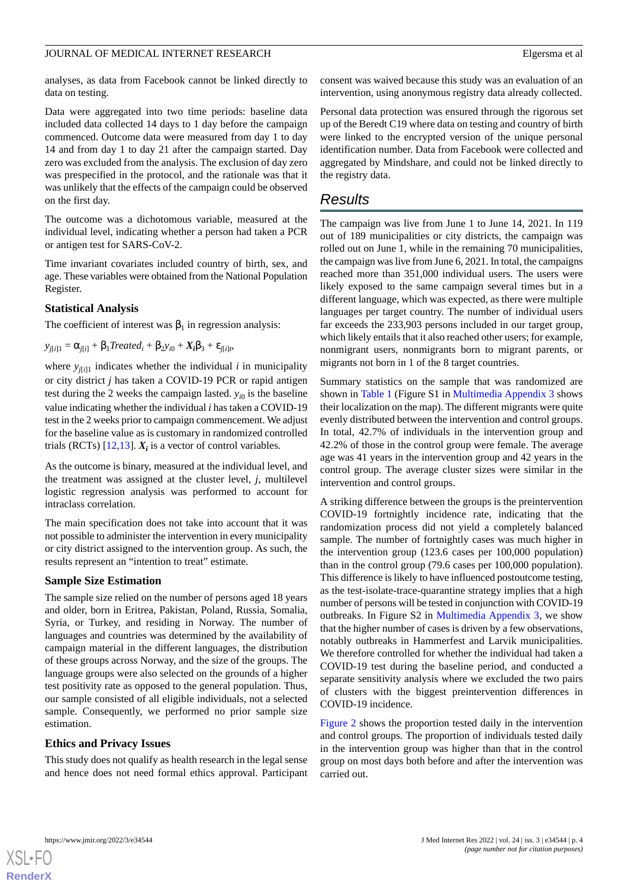analyses, as data from Facebook cannot be linked directly to data on testing.

Data were aggregated into two time periods: baseline data included data collected 14 days to 1 day before the campaign commenced. Outcome data were measured from day 1 to day 14 and from day 1 to day 21 after the campaign started. Day zero was excluded from the analysis. The exclusion of day zero was prespecified in the protocol, and the rationale was that it was unlikely that the effects of the campaign could be observed on the first day.

The outcome was a dichotomous variable, measured at the individual level, indicating whether a person had taken a PCR or antigen test for SARS-CoV-2.

Time invariant covariates included country of birth, sex, and age. These variables were obtained from the National Population Register.

# **Statistical Analysis**

The coefficient of interest was  $\beta_1$  in regression analysis:

 $y_{j[i]1} = \alpha_{j[i]} + \beta_1 Treated_i + \beta_2 y_{i0} + X_i\beta_3 + \varepsilon_{j[i]t},$ 

where  $y_{j[i]1}$  indicates whether the individual *i* in municipality or city district *j* has taken a COVID-19 PCR or rapid antigen test during the 2 weeks the campaign lasted.  $y_{i0}$  is the baseline value indicating whether the individual *i* has taken a COVID-19 test in the 2 weeks prior to campaign commencement. We adjust for the baseline value as is customary in randomized controlled trials (RCTs)  $[12, 13]$  $[12, 13]$  $[12, 13]$ .  $X_i$  is a vector of control variables.

As the outcome is binary, measured at the individual level, and the treatment was assigned at the cluster level, *j*, multilevel logistic regression analysis was performed to account for intraclass correlation.

The main specification does not take into account that it was not possible to administer the intervention in every municipality or city district assigned to the intervention group. As such, the results represent an "intention to treat" estimate.

# **Sample Size Estimation**

The sample size relied on the number of persons aged 18 years and older, born in Eritrea, Pakistan, Poland, Russia, Somalia, Syria, or Turkey, and residing in Norway. The number of languages and countries was determined by the availability of campaign material in the different languages, the distribution of these groups across Norway, and the size of the groups. The language groups were also selected on the grounds of a higher test positivity rate as opposed to the general population. Thus, our sample consisted of all eligible individuals, not a selected sample. Consequently, we performed no prior sample size estimation.

# **Ethics and Privacy Issues**

This study does not qualify as health research in the legal sense and hence does not need formal ethics approval. Participant consent was waived because this study was an evaluation of an intervention, using anonymous registry data already collected.

Personal data protection was ensured through the rigorous set up of the Beredt C19 where data on testing and country of birth were linked to the encrypted version of the unique personal identification number. Data from Facebook were collected and aggregated by Mindshare, and could not be linked directly to the registry data.

# *Results*

The campaign was live from June 1 to June 14, 2021. In 119 out of 189 municipalities or city districts, the campaign was rolled out on June 1, while in the remaining 70 municipalities, the campaign was live from June 6, 2021. In total, the campaigns reached more than 351,000 individual users. The users were likely exposed to the same campaign several times but in a different language, which was expected, as there were multiple languages per target country. The number of individual users far exceeds the 233,903 persons included in our target group, which likely entails that it also reached other users; for example, nonmigrant users, nonmigrants born to migrant parents, or migrants not born in 1 of the 8 target countries.

Summary statistics on the sample that was randomized are shown in [Table 1](#page-4-0) (Figure S1 in [Multimedia Appendix 3](#page-7-3) shows their localization on the map). The different migrants were quite evenly distributed between the intervention and control groups. In total, 42.7% of individuals in the intervention group and 42.2% of those in the control group were female. The average age was 41 years in the intervention group and 42 years in the control group. The average cluster sizes were similar in the intervention and control groups.

A striking difference between the groups is the preintervention COVID-19 fortnightly incidence rate, indicating that the randomization process did not yield a completely balanced sample. The number of fortnightly cases was much higher in the intervention group (123.6 cases per 100,000 population) than in the control group (79.6 cases per 100,000 population). This difference is likely to have influenced postoutcome testing, as the test-isolate-trace-quarantine strategy implies that a high number of persons will be tested in conjunction with COVID-19 outbreaks. In Figure S2 in [Multimedia Appendix 3](#page-7-3), we show that the higher number of cases is driven by a few observations, notably outbreaks in Hammerfest and Larvik municipalities. We therefore controlled for whether the individual had taken a COVID-19 test during the baseline period, and conducted a separate sensitivity analysis where we excluded the two pairs of clusters with the biggest preintervention differences in COVID-19 incidence.

[Figure 2](#page-4-1) shows the proportion tested daily in the intervention and control groups. The proportion of individuals tested daily in the intervention group was higher than that in the control group on most days both before and after the intervention was carried out.

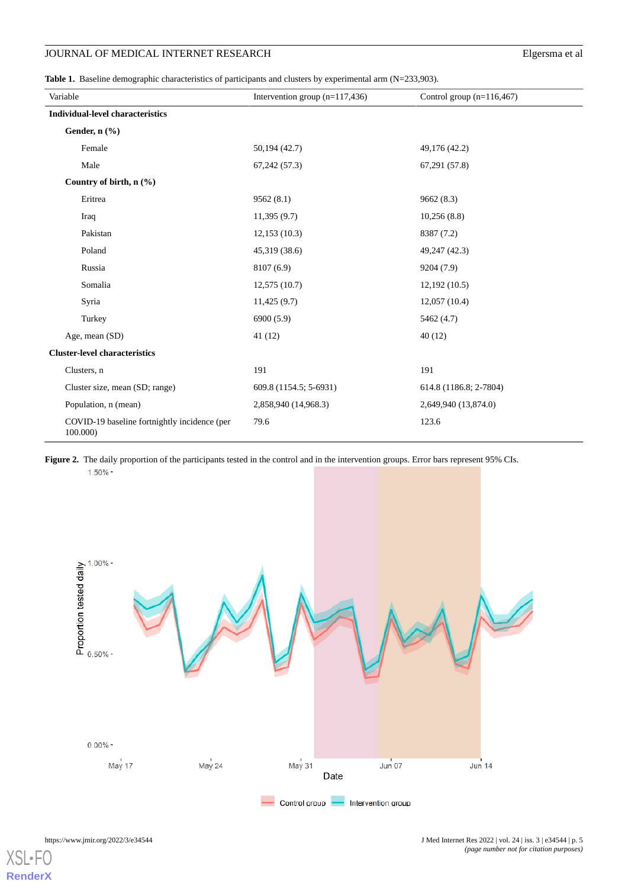<span id="page-4-0"></span>Table 1. Baseline demographic characteristics of participants and clusters by experimental arm (N=233,903).

| Variable                                                 | Intervention group $(n=117,436)$ | Control group $(n=116,467)$ |
|----------------------------------------------------------|----------------------------------|-----------------------------|
| <b>Individual-level characteristics</b>                  |                                  |                             |
| Gender, n (%)                                            |                                  |                             |
| Female                                                   | 50,194 (42.7)                    | 49,176 (42.2)               |
| Male                                                     | 67,242(57.3)                     | 67,291 (57.8)               |
| Country of birth, $n$ (%)                                |                                  |                             |
| Eritrea                                                  | 9562(8.1)                        | 9662 (8.3)                  |
| Iraq                                                     | 11,395(9.7)                      | 10,256(8.8)                 |
| Pakistan                                                 | 12,153(10.3)                     | 8387 (7.2)                  |
| Poland                                                   | 45,319 (38.6)                    | 49,247 (42.3)               |
| Russia                                                   | 8107 (6.9)                       | 9204 (7.9)                  |
| Somalia                                                  | 12,575(10.7)                     | 12,192(10.5)                |
| Syria                                                    | 11,425(9.7)                      | 12,057(10.4)                |
| Turkey                                                   | 6900 (5.9)                       | 5462 (4.7)                  |
| Age, mean (SD)                                           | 41(12)                           | 40(12)                      |
| <b>Cluster-level characteristics</b>                     |                                  |                             |
| Clusters, n                                              | 191                              | 191                         |
| Cluster size, mean (SD; range)                           | 609.8 (1154.5; 5-6931)           | 614.8 (1186.8; 2-7804)      |
| Population, n (mean)                                     | 2,858,940 (14,968.3)             | 2,649,940 (13,874.0)        |
| COVID-19 baseline fortnightly incidence (per<br>100.000) | 79.6                             | 123.6                       |

<span id="page-4-1"></span>Figure 2. The daily proportion of the participants tested in the control and in the intervention groups. Error bars represent 95% CIs.  $1.50\%$  -



XSI **[RenderX](http://www.renderx.com/)**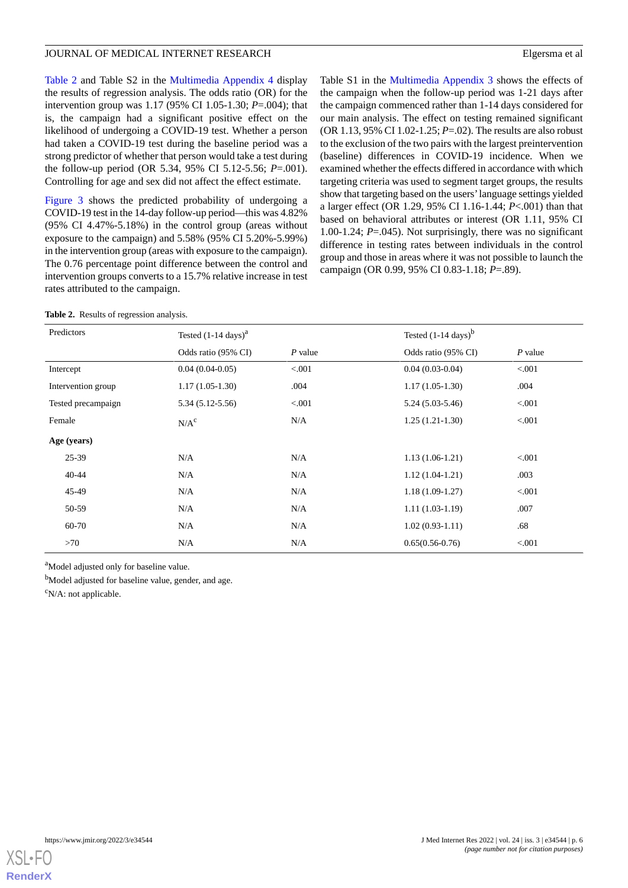[Table 2](#page-5-0) and Table S2 in the [Multimedia Appendix 4](#page-7-4) display the results of regression analysis. The odds ratio (OR) for the intervention group was 1.17 (95% CI 1.05-1.30; *P*=.004); that is, the campaign had a significant positive effect on the likelihood of undergoing a COVID-19 test. Whether a person had taken a COVID-19 test during the baseline period was a strong predictor of whether that person would take a test during the follow-up period (OR 5.34, 95% CI 5.12-5.56; *P*=.001). Controlling for age and sex did not affect the effect estimate.

[Figure 3](#page-6-0) shows the predicted probability of undergoing a COVID-19 test in the 14-day follow-up period—this was 4.82% (95% CI 4.47%-5.18%) in the control group (areas without exposure to the campaign) and 5.58% (95% CI 5.20%-5.99%) in the intervention group (areas with exposure to the campaign). The 0.76 percentage point difference between the control and intervention groups converts to a 15.7% relative increase in test rates attributed to the campaign.

Table S1 in the [Multimedia Appendix 3](#page-7-3) shows the effects of the campaign when the follow-up period was 1-21 days after the campaign commenced rather than 1-14 days considered for our main analysis. The effect on testing remained significant (OR 1.13, 95% CI 1.02-1.25; *P*=.02). The results are also robust to the exclusion of the two pairs with the largest preintervention (baseline) differences in COVID-19 incidence. When we examined whether the effects differed in accordance with which targeting criteria was used to segment target groups, the results show that targeting based on the users'language settings yielded a larger effect (OR 1.29, 95% CI 1.16-1.44; *P*<.001) than that based on behavioral attributes or interest (OR 1.11, 95% CI 1.00-1.24; *P*=.045). Not surprisingly, there was no significant difference in testing rates between individuals in the control group and those in areas where it was not possible to launch the campaign (OR 0.99, 95% CI 0.83-1.18; *P*=.89).

<span id="page-5-0"></span>

|  |  | <b>Table 2.</b> Results of regression analysis. |  |
|--|--|-------------------------------------------------|--|
|--|--|-------------------------------------------------|--|

| Predictors         | Tested $(1-14 \text{ days})^a$ |           | Tested $(1-14 \text{ days})^b$ |           |
|--------------------|--------------------------------|-----------|--------------------------------|-----------|
|                    | Odds ratio (95% CI)            | $P$ value | Odds ratio (95% CI)            | $P$ value |
| Intercept          | $0.04(0.04-0.05)$              | < 0.001   | $0.04(0.03-0.04)$              | < 0.001   |
| Intervention group | $1.17(1.05-1.30)$              | .004      | $1.17(1.05-1.30)$              | .004      |
| Tested precampaign | $5.34(5.12 - 5.56)$            | < 0.001   | $5.24(5.03-5.46)$              | < 0.001   |
| Female             | N/A <sup>c</sup>               | N/A       | $1.25(1.21-1.30)$              | < 0.001   |
| Age (years)        |                                |           |                                |           |
| $25 - 39$          | N/A                            | N/A       | $1.13(1.06-1.21)$              | < 0.001   |
| $40 - 44$          | N/A                            | N/A       | $1.12(1.04-1.21)$              | .003      |
| 45-49              | N/A                            | N/A       | $1.18(1.09-1.27)$              | < 0.001   |
| 50-59              | N/A                            | N/A       | $1.11(1.03-1.19)$              | .007      |
| 60-70              | N/A                            | N/A       | $1.02(0.93-1.11)$              | .68       |
| >70                | N/A                            | N/A       | $0.65(0.56-0.76)$              | < 0.001   |

<sup>a</sup>Model adjusted only for baseline value.

<sup>b</sup>Model adjusted for baseline value, gender, and age.

 $\rm^c$ N/A: not applicable.

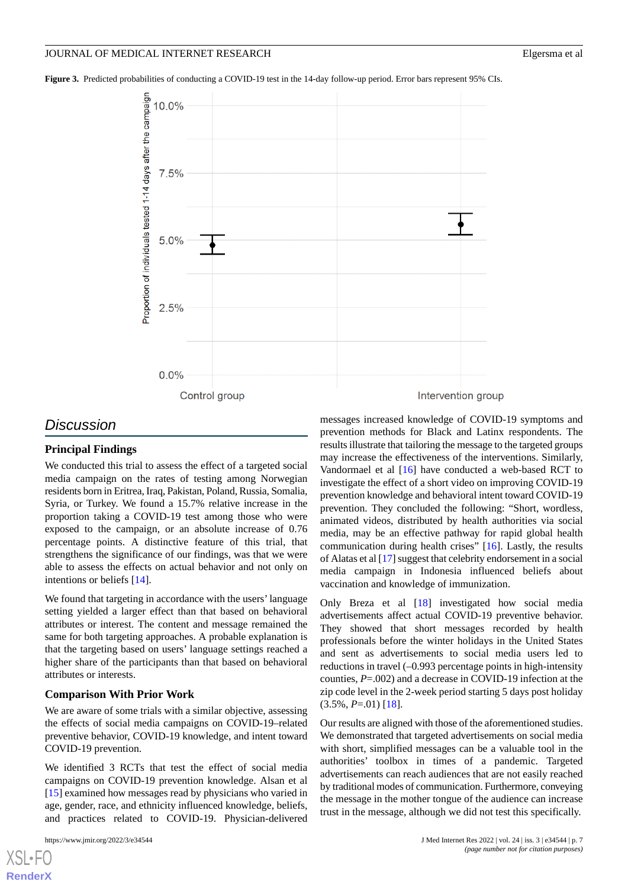<span id="page-6-0"></span>**Figure 3.** Predicted probabilities of conducting a COVID-19 test in the 14-day follow-up period. Error bars represent 95% CIs.



# *Discussion*

# **Principal Findings**

We conducted this trial to assess the effect of a targeted social media campaign on the rates of testing among Norwegian residents born in Eritrea, Iraq, Pakistan, Poland, Russia, Somalia, Syria, or Turkey. We found a 15.7% relative increase in the proportion taking a COVID-19 test among those who were exposed to the campaign, or an absolute increase of 0.76 percentage points. A distinctive feature of this trial, that strengthens the significance of our findings, was that we were able to assess the effects on actual behavior and not only on intentions or beliefs [[14\]](#page-8-12).

We found that targeting in accordance with the users' language setting yielded a larger effect than that based on behavioral attributes or interest. The content and message remained the same for both targeting approaches. A probable explanation is that the targeting based on users' language settings reached a higher share of the participants than that based on behavioral attributes or interests.

## **Comparison With Prior Work**

We are aware of some trials with a similar objective, assessing the effects of social media campaigns on COVID-19–related preventive behavior, COVID-19 knowledge, and intent toward COVID-19 prevention.

We identified 3 RCTs that test the effect of social media campaigns on COVID-19 prevention knowledge. Alsan et al [[15\]](#page-8-13) examined how messages read by physicians who varied in age, gender, race, and ethnicity influenced knowledge, beliefs, and practices related to COVID-19. Physician-delivered

[XSL](http://www.w3.org/Style/XSL)•FO **[RenderX](http://www.renderx.com/)**

messages increased knowledge of COVID-19 symptoms and prevention methods for Black and Latinx respondents. The results illustrate that tailoring the message to the targeted groups may increase the effectiveness of the interventions. Similarly, Vandormael et al [[16\]](#page-8-14) have conducted a web-based RCT to investigate the effect of a short video on improving COVID-19 prevention knowledge and behavioral intent toward COVID-19 prevention. They concluded the following: "Short, wordless, animated videos, distributed by health authorities via social media, may be an effective pathway for rapid global health communication during health crises" [\[16](#page-8-14)]. Lastly, the results of Alatas et al [\[17](#page-8-15)] suggest that celebrity endorsement in a social media campaign in Indonesia influenced beliefs about vaccination and knowledge of immunization.

Only Breza et al [[18\]](#page-8-16) investigated how social media advertisements affect actual COVID-19 preventive behavior. They showed that short messages recorded by health professionals before the winter holidays in the United States and sent as advertisements to social media users led to reductions in travel (–0.993 percentage points in high-intensity counties, *P*=.002) and a decrease in COVID-19 infection at the zip code level in the 2-week period starting 5 days post holiday (3.5%, *P*=.01) [\[18](#page-8-16)].

Our results are aligned with those of the aforementioned studies. We demonstrated that targeted advertisements on social media with short, simplified messages can be a valuable tool in the authorities' toolbox in times of a pandemic. Targeted advertisements can reach audiences that are not easily reached by traditional modes of communication. Furthermore, conveying the message in the mother tongue of the audience can increase trust in the message, although we did not test this specifically.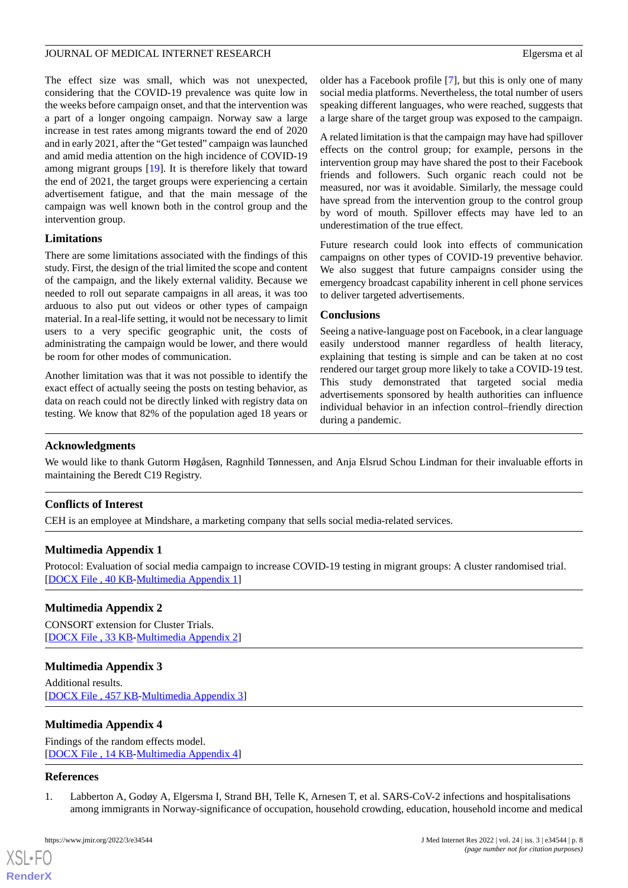The effect size was small, which was not unexpected, considering that the COVID-19 prevalence was quite low in the weeks before campaign onset, and that the intervention was a part of a longer ongoing campaign. Norway saw a large increase in test rates among migrants toward the end of 2020 and in early 2021, after the "Get tested" campaign was launched and amid media attention on the high incidence of COVID-19 among migrant groups [[19\]](#page-8-17). It is therefore likely that toward the end of 2021, the target groups were experiencing a certain advertisement fatigue, and that the main message of the campaign was well known both in the control group and the intervention group.

# **Limitations**

There are some limitations associated with the findings of this study. First, the design of the trial limited the scope and content of the campaign, and the likely external validity. Because we needed to roll out separate campaigns in all areas, it was too arduous to also put out videos or other types of campaign material. In a real-life setting, it would not be necessary to limit users to a very specific geographic unit, the costs of administrating the campaign would be lower, and there would be room for other modes of communication.

Another limitation was that it was not possible to identify the exact effect of actually seeing the posts on testing behavior, as data on reach could not be directly linked with registry data on testing. We know that 82% of the population aged 18 years or older has a Facebook profile [\[7](#page-8-5)], but this is only one of many social media platforms. Nevertheless, the total number of users speaking different languages, who were reached, suggests that a large share of the target group was exposed to the campaign.

A related limitation is that the campaign may have had spillover effects on the control group; for example, persons in the intervention group may have shared the post to their Facebook friends and followers. Such organic reach could not be measured, nor was it avoidable. Similarly, the message could have spread from the intervention group to the control group by word of mouth. Spillover effects may have led to an underestimation of the true effect.

Future research could look into effects of communication campaigns on other types of COVID-19 preventive behavior. We also suggest that future campaigns consider using the emergency broadcast capability inherent in cell phone services to deliver targeted advertisements.

# **Conclusions**

Seeing a native-language post on Facebook, in a clear language easily understood manner regardless of health literacy, explaining that testing is simple and can be taken at no cost rendered our target group more likely to take a COVID-19 test. This study demonstrated that targeted social media advertisements sponsored by health authorities can influence individual behavior in an infection control–friendly direction during a pandemic.

# **Acknowledgments**

We would like to thank Gutorm Høgåsen, Ragnhild Tønnessen, and Anja Elsrud Schou Lindman for their invaluable efforts in maintaining the Beredt C19 Registry.

# <span id="page-7-1"></span>**Conflicts of Interest**

CEH is an employee at Mindshare, a marketing company that sells social media-related services.

# <span id="page-7-2"></span>**Multimedia Appendix 1**

Protocol: Evaluation of social media campaign to increase COVID-19 testing in migrant groups: A cluster randomised trial. [[DOCX File , 40 KB](https://jmir.org/api/download?alt_name=jmir_v24i3e34544_app1.docx&filename=e54350099c3e4523a65d3f23b4ce66a0.docx)-[Multimedia Appendix 1\]](https://jmir.org/api/download?alt_name=jmir_v24i3e34544_app1.docx&filename=e54350099c3e4523a65d3f23b4ce66a0.docx)

# <span id="page-7-3"></span>**Multimedia Appendix 2**

CONSORT extension for Cluster Trials. [[DOCX File , 33 KB](https://jmir.org/api/download?alt_name=jmir_v24i3e34544_app2.docx&filename=706d7fffd144ca287de492b215b75bbf.docx)-[Multimedia Appendix 2\]](https://jmir.org/api/download?alt_name=jmir_v24i3e34544_app2.docx&filename=706d7fffd144ca287de492b215b75bbf.docx)

# <span id="page-7-4"></span>**Multimedia Appendix 3**

Additional results. [[DOCX File , 457 KB-Multimedia Appendix 3\]](https://jmir.org/api/download?alt_name=jmir_v24i3e34544_app3.docx&filename=581e7a479eb5a6903b48ba5288276567.docx)

# <span id="page-7-0"></span>**Multimedia Appendix 4**

Findings of the random effects model. [[DOCX File , 14 KB](https://jmir.org/api/download?alt_name=jmir_v24i3e34544_app4.docx&filename=6368296a29f7a92d4c73b1df08b38900.docx)-[Multimedia Appendix 4\]](https://jmir.org/api/download?alt_name=jmir_v24i3e34544_app4.docx&filename=6368296a29f7a92d4c73b1df08b38900.docx)

# **References**

[XSL](http://www.w3.org/Style/XSL)•FO **[RenderX](http://www.renderx.com/)**

1. Labberton A, Godøy A, Elgersma I, Strand BH, Telle K, Arnesen T, et al. SARS-CoV-2 infections and hospitalisations among immigrants in Norway-significance of occupation, household crowding, education, household income and medical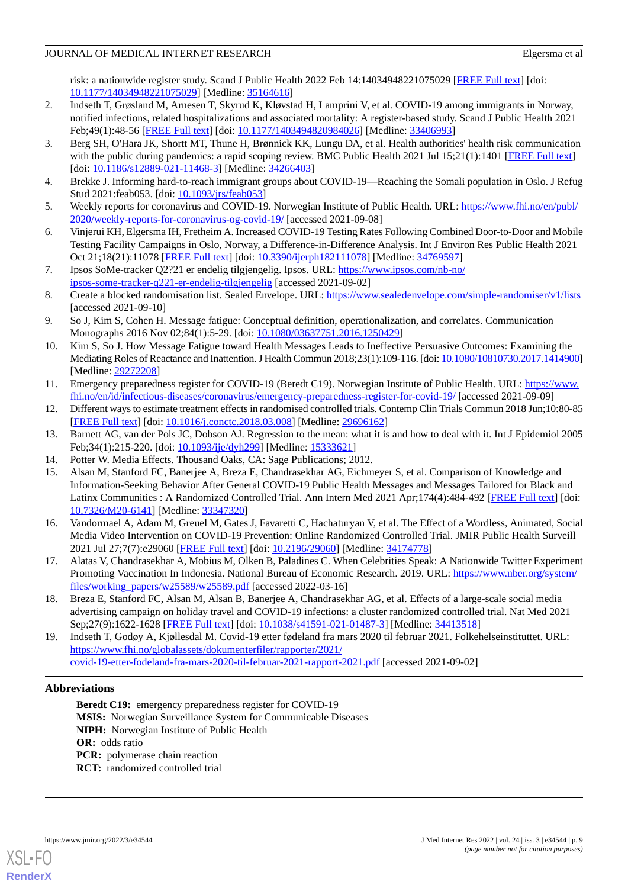risk: a nationwide register study. Scand J Public Health 2022 Feb 14:14034948221075029 [\[FREE Full text\]](https://journals.sagepub.com/doi/10.1177/14034948221075029?url_ver=Z39.88-2003&rfr_id=ori:rid:crossref.org&rfr_dat=cr_pub%3dpubmed) [doi: [10.1177/14034948221075029\]](http://dx.doi.org/10.1177/14034948221075029) [Medline: [35164616\]](http://www.ncbi.nlm.nih.gov/entrez/query.fcgi?cmd=Retrieve&db=PubMed&list_uids=35164616&dopt=Abstract)

- <span id="page-8-0"></span>2. Indseth T, Grøsland M, Arnesen T, Skyrud K, Kløvstad H, Lamprini V, et al. COVID-19 among immigrants in Norway, notified infections, related hospitalizations and associated mortality: A register-based study. Scand J Public Health 2021 Feb;49(1):48-56 [[FREE Full text](https://journals.sagepub.com/doi/10.1177/1403494820984026?url_ver=Z39.88-2003&rfr_id=ori:rid:crossref.org&rfr_dat=cr_pub%3dpubmed)] [doi: [10.1177/1403494820984026\]](http://dx.doi.org/10.1177/1403494820984026) [Medline: [33406993\]](http://www.ncbi.nlm.nih.gov/entrez/query.fcgi?cmd=Retrieve&db=PubMed&list_uids=33406993&dopt=Abstract)
- <span id="page-8-1"></span>3. Berg SH, O'Hara JK, Shortt MT, Thune H, Brønnick KK, Lungu DA, et al. Health authorities' health risk communication with the public during pandemics: a rapid scoping review. BMC Public Health 2021 Jul 15;21(1):1401 [\[FREE Full text](https://bmcpublichealth.biomedcentral.com/articles/10.1186/s12889-021-11468-3)] [doi: [10.1186/s12889-021-11468-3](http://dx.doi.org/10.1186/s12889-021-11468-3)] [Medline: [34266403\]](http://www.ncbi.nlm.nih.gov/entrez/query.fcgi?cmd=Retrieve&db=PubMed&list_uids=34266403&dopt=Abstract)
- <span id="page-8-3"></span><span id="page-8-2"></span>4. Brekke J. Informing hard-to-reach immigrant groups about COVID-19—Reaching the Somali population in Oslo. J Refug Stud 2021:feab053. [doi: [10.1093/jrs/feab053](http://dx.doi.org/10.1093/jrs/feab053)]
- <span id="page-8-4"></span>5. Weekly reports for coronavirus and COVID-19. Norwegian Institute of Public Health. URL: [https://www.fhi.no/en/publ/](https://www.fhi.no/en/publ/2020/weekly-reports-for-coronavirus-og-covid-19/) [2020/weekly-reports-for-coronavirus-og-covid-19/](https://www.fhi.no/en/publ/2020/weekly-reports-for-coronavirus-og-covid-19/) [accessed 2021-09-08]
- <span id="page-8-5"></span>6. Vinjerui KH, Elgersma IH, Fretheim A. Increased COVID-19 Testing Rates Following Combined Door-to-Door and Mobile Testing Facility Campaigns in Oslo, Norway, a Difference-in-Difference Analysis. Int J Environ Res Public Health 2021 Oct 21;18(21):11078 [\[FREE Full text\]](https://www.mdpi.com/resolver?pii=ijerph182111078) [doi: [10.3390/ijerph182111078\]](http://dx.doi.org/10.3390/ijerph182111078) [Medline: [34769597\]](http://www.ncbi.nlm.nih.gov/entrez/query.fcgi?cmd=Retrieve&db=PubMed&list_uids=34769597&dopt=Abstract)
- <span id="page-8-6"></span>7. Ipsos SoMe-tracker Q2?21 er endelig tilgjengelig. Ipsos. URL: [https://www.ipsos.com/nb-no/](https://www.ipsos.com/nb-no/ipsos-some-tracker-q221-er-endelig-tilgjengelig) [ipsos-some-tracker-q221-er-endelig-tilgjengelig](https://www.ipsos.com/nb-no/ipsos-some-tracker-q221-er-endelig-tilgjengelig) [accessed 2021-09-02]
- <span id="page-8-7"></span>8. Create a blocked randomisation list. Sealed Envelope. URL: <https://www.sealedenvelope.com/simple-randomiser/v1/lists> [accessed 2021-09-10]
- <span id="page-8-8"></span>9. So J, Kim S, Cohen H. Message fatigue: Conceptual definition, operationalization, and correlates. Communication Monographs 2016 Nov 02;84(1):5-29. [doi: [10.1080/03637751.2016.1250429\]](http://dx.doi.org/10.1080/03637751.2016.1250429)
- <span id="page-8-9"></span>10. Kim S, So J. How Message Fatigue toward Health Messages Leads to Ineffective Persuasive Outcomes: Examining the Mediating Roles of Reactance and Inattention. J Health Commun 2018;23(1):109-116. [doi: [10.1080/10810730.2017.1414900\]](http://dx.doi.org/10.1080/10810730.2017.1414900) [Medline: [29272208](http://www.ncbi.nlm.nih.gov/entrez/query.fcgi?cmd=Retrieve&db=PubMed&list_uids=29272208&dopt=Abstract)]
- <span id="page-8-11"></span><span id="page-8-10"></span>11. Emergency preparedness register for COVID-19 (Beredt C19). Norwegian Institute of Public Health. URL: [https://www.](https://www.fhi.no/en/id/infectious-diseases/coronavirus/emergency-preparedness-register-for-covid-19/) [fhi.no/en/id/infectious-diseases/coronavirus/emergency-preparedness-register-for-covid-19/](https://www.fhi.no/en/id/infectious-diseases/coronavirus/emergency-preparedness-register-for-covid-19/) [accessed 2021-09-09]
- <span id="page-8-12"></span>12. Different ways to estimate treatment effects in randomised controlled trials. Contemp Clin Trials Commun 2018 Jun;10:80-85 [[FREE Full text](https://linkinghub.elsevier.com/retrieve/pii/S2451-8654(17)30184-9)] [doi: [10.1016/j.conctc.2018.03.008\]](http://dx.doi.org/10.1016/j.conctc.2018.03.008) [Medline: [29696162](http://www.ncbi.nlm.nih.gov/entrez/query.fcgi?cmd=Retrieve&db=PubMed&list_uids=29696162&dopt=Abstract)]
- <span id="page-8-13"></span>13. Barnett AG, van der Pols JC, Dobson AJ. Regression to the mean: what it is and how to deal with it. Int J Epidemiol 2005 Feb;34(1):215-220. [doi: [10.1093/ije/dyh299](http://dx.doi.org/10.1093/ije/dyh299)] [Medline: [15333621](http://www.ncbi.nlm.nih.gov/entrez/query.fcgi?cmd=Retrieve&db=PubMed&list_uids=15333621&dopt=Abstract)]
- 14. Potter W. Media Effects. Thousand Oaks, CA: Sage Publications; 2012.
- <span id="page-8-14"></span>15. Alsan M, Stanford FC, Banerjee A, Breza E, Chandrasekhar AG, Eichmeyer S, et al. Comparison of Knowledge and Information-Seeking Behavior After General COVID-19 Public Health Messages and Messages Tailored for Black and Latinx Communities : A Randomized Controlled Trial. Ann Intern Med 2021 Apr;174(4):484-492 [\[FREE Full text\]](https://www.acpjournals.org/doi/abs/10.7326/M20-6141?url_ver=Z39.88-2003&rfr_id=ori:rid:crossref.org&rfr_dat=cr_pub%3dpubmed) [doi: [10.7326/M20-6141](http://dx.doi.org/10.7326/M20-6141)] [Medline: [33347320\]](http://www.ncbi.nlm.nih.gov/entrez/query.fcgi?cmd=Retrieve&db=PubMed&list_uids=33347320&dopt=Abstract)
- <span id="page-8-16"></span><span id="page-8-15"></span>16. Vandormael A, Adam M, Greuel M, Gates J, Favaretti C, Hachaturyan V, et al. The Effect of a Wordless, Animated, Social Media Video Intervention on COVID-19 Prevention: Online Randomized Controlled Trial. JMIR Public Health Surveill 2021 Jul 27;7(7):e29060 [[FREE Full text](https://publichealth.jmir.org/2021/7/e29060/)] [doi: [10.2196/29060\]](http://dx.doi.org/10.2196/29060) [Medline: [34174778](http://www.ncbi.nlm.nih.gov/entrez/query.fcgi?cmd=Retrieve&db=PubMed&list_uids=34174778&dopt=Abstract)]
- <span id="page-8-17"></span>17. Alatas V, Chandrasekhar A, Mobius M, Olken B, Paladines C. When Celebrities Speak: A Nationwide Twitter Experiment Promoting Vaccination In Indonesia. National Bureau of Economic Research. 2019. URL: [https://www.nber.org/system/](https://www.nber.org/system/files/working_papers/w25589/w25589.pdf) [files/working\\_papers/w25589/w25589.pdf](https://www.nber.org/system/files/working_papers/w25589/w25589.pdf) [accessed 2022-03-16]
- 18. Breza E, Stanford FC, Alsan M, Alsan B, Banerjee A, Chandrasekhar AG, et al. Effects of a large-scale social media advertising campaign on holiday travel and COVID-19 infections: a cluster randomized controlled trial. Nat Med 2021 Sep;27(9):1622-1628 [[FREE Full text](http://europepmc.org/abstract/MED/34413518)] [doi: [10.1038/s41591-021-01487-3\]](http://dx.doi.org/10.1038/s41591-021-01487-3) [Medline: [34413518](http://www.ncbi.nlm.nih.gov/entrez/query.fcgi?cmd=Retrieve&db=PubMed&list_uids=34413518&dopt=Abstract)]
- 19. Indseth T, Godøy A, Kjøllesdal M. Covid-19 etter fødeland fra mars 2020 til februar 2021. Folkehelseinstituttet. URL: [https://www.fhi.no/globalassets/dokumenterfiler/rapporter/2021/](https://www.fhi.no/globalassets/dokumenterfiler/rapporter/2021/covid-19-etter-fodeland-fra-mars-2020-til-februar-2021-rapport-2021.pdf) [covid-19-etter-fodeland-fra-mars-2020-til-februar-2021-rapport-2021.pdf](https://www.fhi.no/globalassets/dokumenterfiler/rapporter/2021/covid-19-etter-fodeland-fra-mars-2020-til-februar-2021-rapport-2021.pdf) [accessed 2021-09-02]

# **Abbreviations**

**Beredt C19:** emergency preparedness register for COVID-19 **MSIS:** Norwegian Surveillance System for Communicable Diseases **NIPH:** Norwegian Institute of Public Health **OR:** odds ratio **PCR:** polymerase chain reaction **RCT:** randomized controlled trial